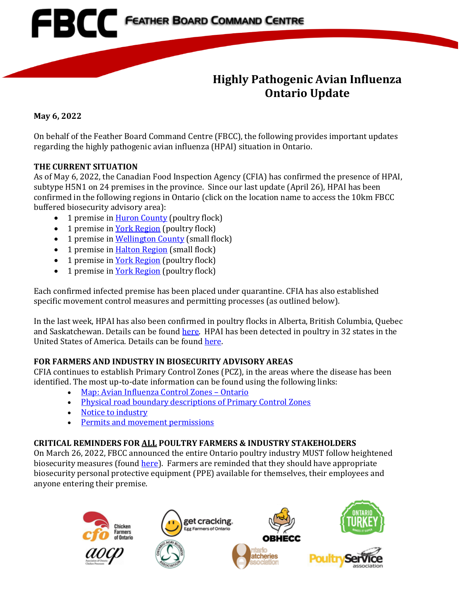

## **Highly Pathogenic Avian Influenza Ontario Update**

**May 6, 2022**

On behalf of the Feather Board Command Centre (FBCC), the following provides important updates regarding the highly pathogenic avian influenza (HPAI) situation in Ontario.

#### **THE CURRENT SITUATION**

As of May 6, 2022, the Canadian Food Inspection Agency (CFIA) has confirmed the presence of HPAI, subtype H5N1 on 24 premises in the province. Since our last update (April 26), HPAI has been confirmed in the following regions in Ontario (click on the location name to access the 10km FBCC buffered biosecurity advisory area):

- 1 premise i[n Huron County](https://www.fbcc.ca/wingham-high-mortality/public-map) (poultry flock)
- 1 premise in York [Region](https://www.fbcc.ca/IP-20--Queensville-ON-04-29-2022/public-map) (poultry flock)
- 1 premise i[n Wellington County](https://www.fbcc.ca/eramosa/public-map) (small flock)
- 1 premise i[n Halton Region](https://www.fbcc.ca/halton/public-map) (small flock)
- 1 premise i[n York Region](https://www.fbcc.ca/mount-albert/public-map) (poultry flock)
- 1 premise i[n York Region](https://www.fbcc.ca/york-05-05-2022/public-map) (poultry flock)

Each confirmed infected premise has been placed under quarantine. CFIA has also established specific movement control measures and permitting processes (as outlined below).

In the last week, HPAI has also been confirmed in poultry flocks in Alberta, British Columbia, Quebec and Saskatchewan. Details can be foun[d here.](https://inspection.canada.ca/animal-health/terrestrial-animals/diseases/reportable/avian-influenza/response-to-detections-of-highly-pathogenic-avian-/eng/1640207916497/1640207916934) HPAI has been detected in poultry in 32 states in the United States of America. Details can be foun[d here.](https://www.aphis.usda.gov/aphis/ourfocus/animalhealth/animal-disease-information/avian/avian-influenza/hpai-2022/2022-hpai-commercial-backyard-flocks)

### **FOR FARMERS AND INDUSTRY IN BIOSECURITY ADVISORY AREAS**

CFIA continues to establish Primary Control Zones (PCZ), in the areas where the disease has been identified. The most up-to-date information can be found using the following links:

- [Map: Avian Influenza Control Zones –](https://inspection.canada.ca/animal-health/terrestrial-animals/diseases/reportable/avian-influenza/response-to-detections-of-highly-pathogenic-avian-/ai-zones/eng/1648851134912/1648851359195) Ontario
- [Physical road boundary descriptions of Primary Control Zones](https://inspection.canada.ca/animal-health/terrestrial-animals/diseases/reportable/avian-influenza/hpai-in-canada/status-of-ongoing-avian-influenza-response-by-prov/ai-zones/eng/1648851134912/1648851359195)
- [Notice to industry](https://inspection.canada.ca/animal-health/terrestrial-animals/diseases/reportable/avian-influenza/response-to-detections-of-highly-pathogenic-avian-/2022-04-02/eng/1648912803992/1648912804367)
- [Permits and movement permissions](https://inspection.canada.ca/animal-health/terrestrial-animals/diseases/reportable/avian-influenza/response-to-detections-of-highly-pathogenic-avian-/movement-control-permissions/eng/1648871137667/1648871138011)

### **CRITICAL REMINDERS FOR ALL POULTRY FARMERS & INDUSTRY STAKEHOLDERS**

On March 26, 2022, FBCC announced the entire Ontario poultry industry MUST follow heightened biosecurity measures (found [here\)](https://www.familyfoodgrower.ca/family-food/images/FBCC_March-26_2022_Provincial-Advisory.pdf?ext=.pdf). Farmers are reminded that they should have appropriate biosecurity personal protective equipment (PPE) available for themselves, their employees and anyone entering their premise.